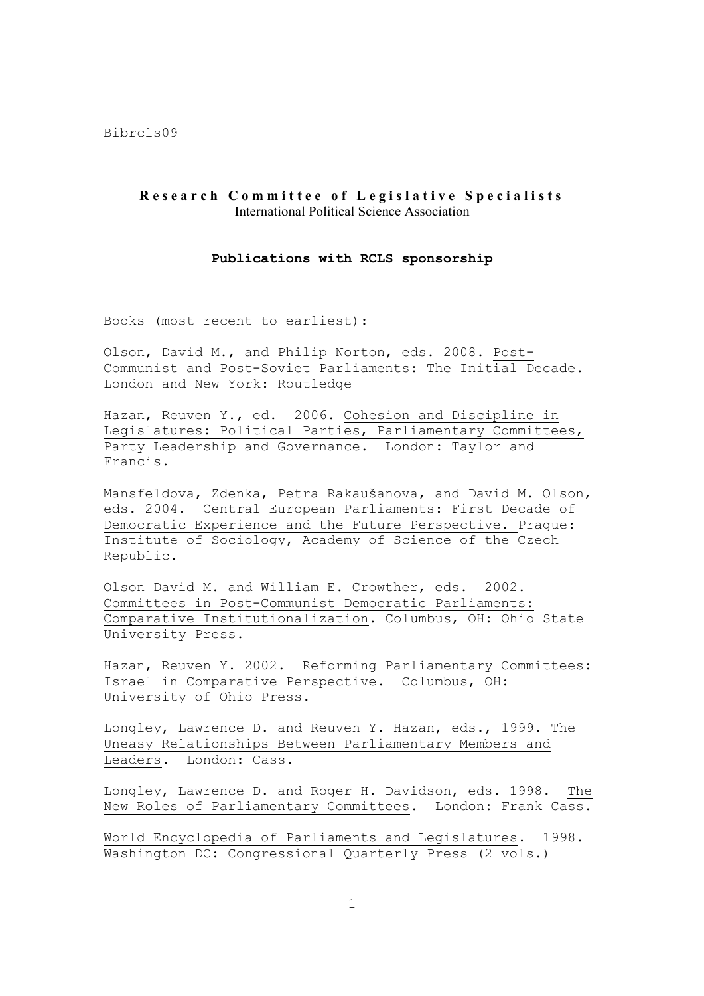## **Research Committee of Legislative Specialists** International Political Science Association

## **Publications with RCLS sponsorship**

Books (most recent to earliest):

Olson, David M., and Philip Norton, eds. 2008. Post-Communist and Post-Soviet Parliaments: The Initial Decade. London and New York: Routledge

Hazan, Reuven Y., ed. 2006. Cohesion and Discipline in Legislatures: Political Parties, Parliamentary Committees, Party Leadership and Governance. London: Taylor and Francis.

Mansfeldova, Zdenka, Petra Rakaušanova, and David M. Olson, eds. 2004. Central European Parliaments: First Decade of Democratic Experience and the Future Perspective. Prague: Institute of Sociology, Academy of Science of the Czech Republic.

Olson David M. and William E. Crowther, eds. 2002. Committees in Post-Communist Democratic Parliaments: Comparative Institutionalization. Columbus, OH: Ohio State University Press.

Hazan, Reuven Y. 2002. Reforming Parliamentary Committees: Israel in Comparative Perspective. Columbus, OH: University of Ohio Press.

Longley, Lawrence D. and Reuven Y. Hazan, eds., 1999. The Uneasy Relationships Between Parliamentary Members and Leaders. London: Cass.

Longley, Lawrence D. and Roger H. Davidson, eds. 1998. The New Roles of Parliamentary Committees. London: Frank Cass.

World Encyclopedia of Parliaments and Legislatures. 1998. Washington DC: Congressional Quarterly Press (2 vols.)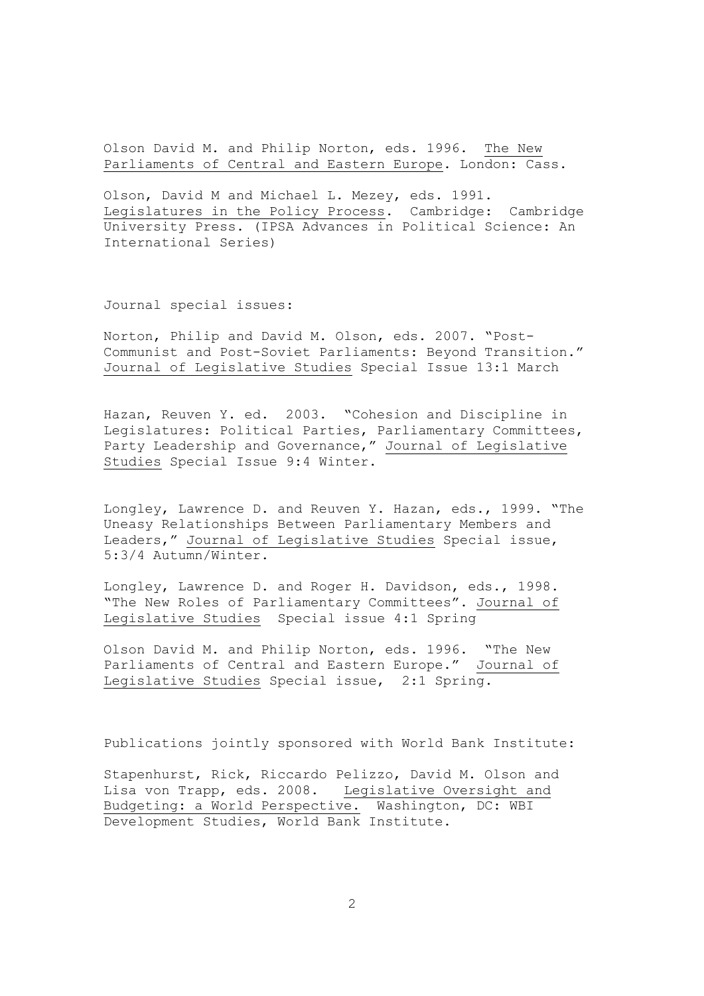Olson David M. and Philip Norton, eds. 1996. The New Parliaments of Central and Eastern Europe. London: Cass.

Olson, David M and Michael L. Mezey, eds. 1991. Legislatures in the Policy Process. Cambridge: Cambridge University Press. (IPSA Advances in Political Science: An International Series)

Journal special issues:

Norton, Philip and David M. Olson, eds. 2007. "Post-Communist and Post-Soviet Parliaments: Beyond Transition." Journal of Legislative Studies Special Issue 13:1 March

Hazan, Reuven Y. ed. 2003. "Cohesion and Discipline in Legislatures: Political Parties, Parliamentary Committees, Party Leadership and Governance," Journal of Legislative Studies Special Issue 9:4 Winter.

Longley, Lawrence D. and Reuven Y. Hazan, eds., 1999. "The Uneasy Relationships Between Parliamentary Members and Leaders," Journal of Legislative Studies Special issue, 5:3/4 Autumn/Winter.

Longley, Lawrence D. and Roger H. Davidson, eds., 1998. "The New Roles of Parliamentary Committees". Journal of Legislative Studies Special issue 4:1 Spring

Olson David M. and Philip Norton, eds. 1996. "The New Parliaments of Central and Eastern Europe." Journal of Legislative Studies Special issue, 2:1 Spring.

Publications jointly sponsored with World Bank Institute:

Stapenhurst, Rick, Riccardo Pelizzo, David M. Olson and Lisa von Trapp, eds. 2008. Legislative Oversight and Budgeting: a World Perspective. Washington, DC: WBI Development Studies, World Bank Institute.